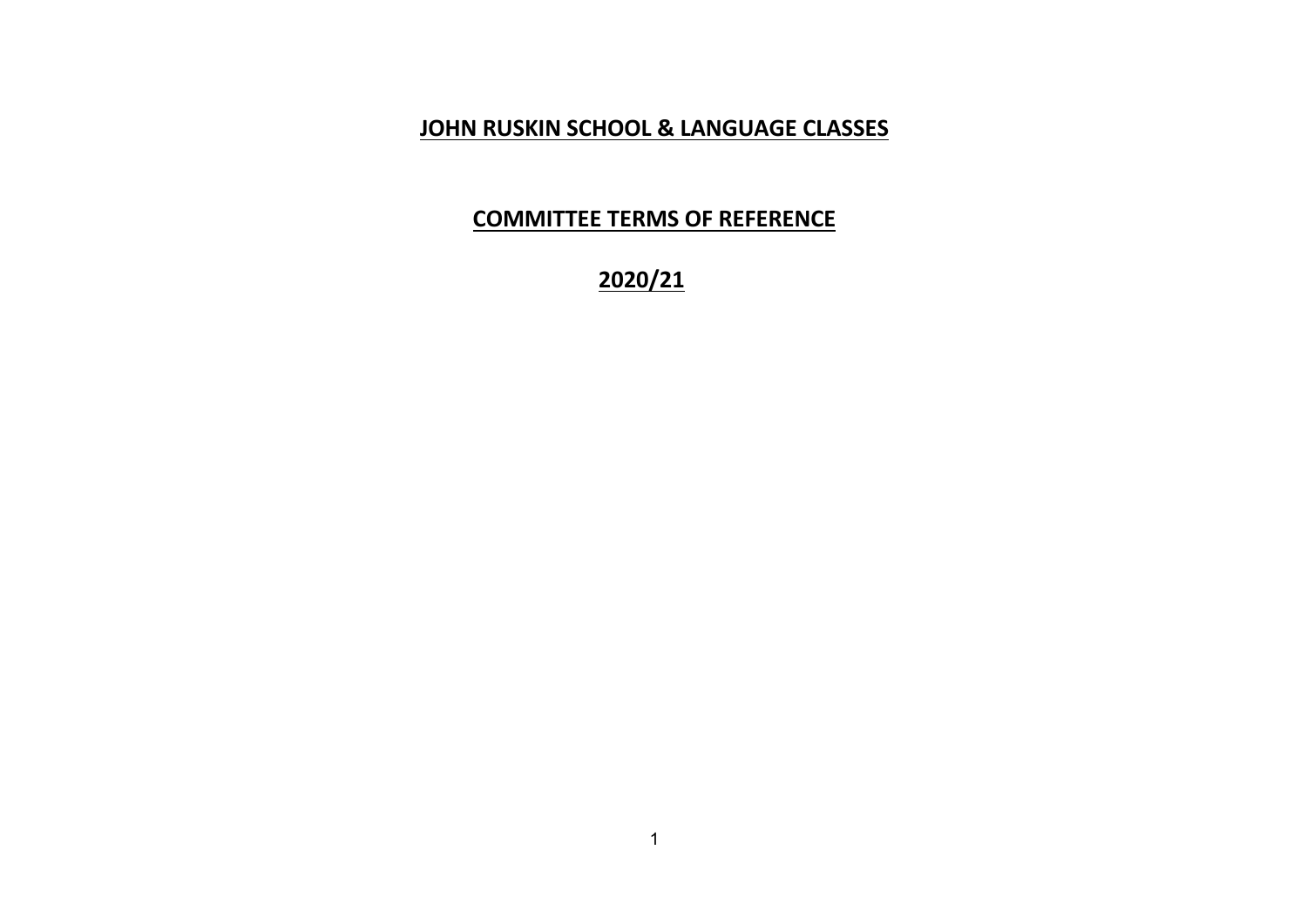# **JOHN RUSKIN SCHOOL & LANGUAGE CLASSES**

# **COMMITTEE TERMS OF REFERENCE**

**2020/21**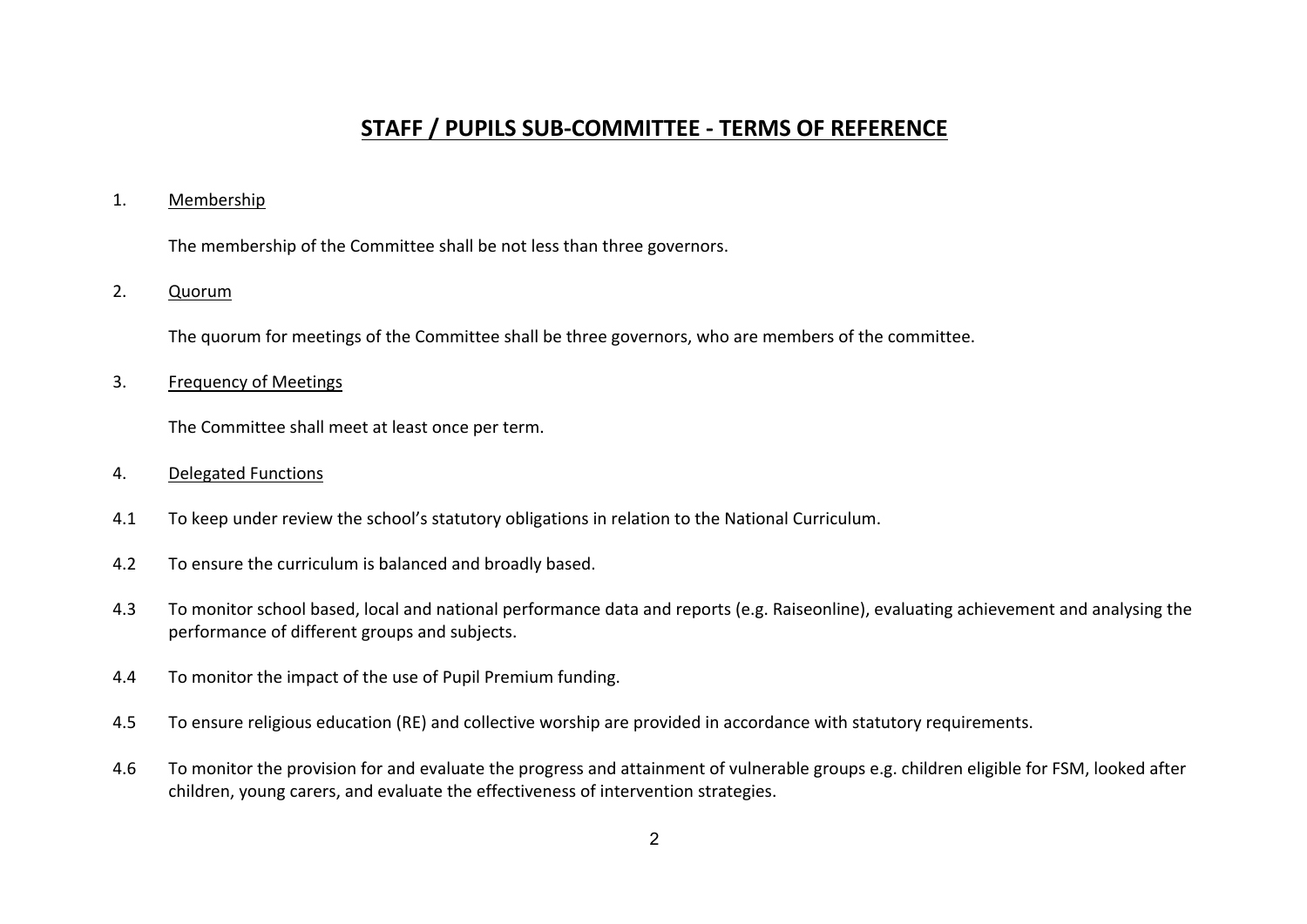# **STAFF / PUPILS SUB-COMMITTEE - TERMS OF REFERENCE**

#### 1. Membership

The membership of the Committee shall be not less than three governors.

# 2. Quorum

The quorum for meetings of the Committee shall be three governors, who are members of the committee.

#### 3. Frequency of Meetings

The Committee shall meet at least once per term.

#### 4. Delegated Functions

- 4.1 To keep under review the school's statutory obligations in relation to the National Curriculum.
- 4.2 To ensure the curriculum is balanced and broadly based.
- 4.3 To monitor school based, local and national performance data and reports (e.g. Raiseonline), evaluating achievement and analysing the performance of different groups and subjects.
- 4.4 To monitor the impact of the use of Pupil Premium funding.
- 4.5 To ensure religious education (RE) and collective worship are provided in accordance with statutory requirements.
- 4.6 To monitor the provision for and evaluate the progress and attainment of vulnerable groups e.g. children eligible for FSM, looked after children, young carers, and evaluate the effectiveness of intervention strategies.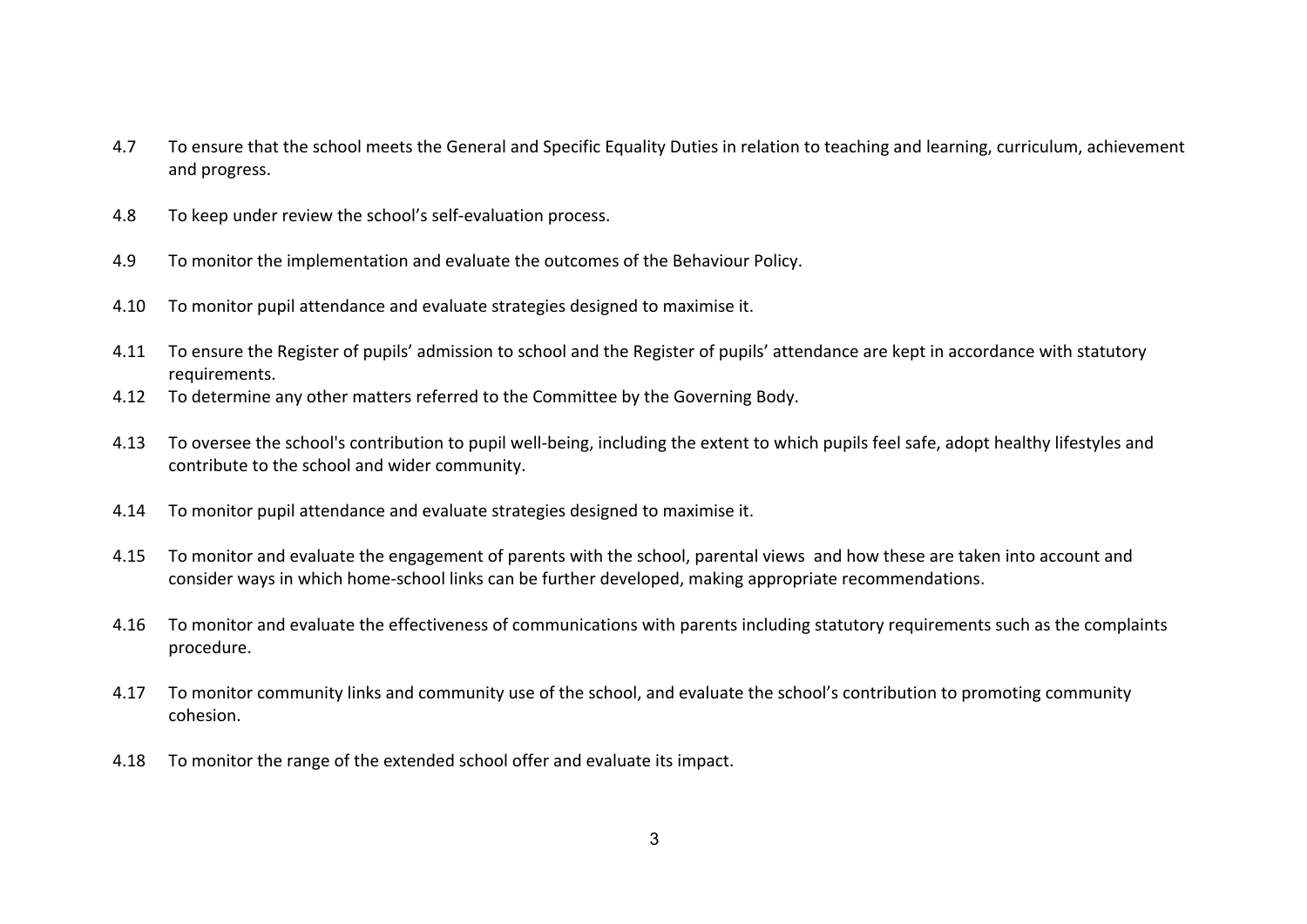- 4.7 To ensure that the school meets the General and Specific Equality Duties in relation to teaching and learning, curriculum, achievement and progress.
- 4.8 To keep under review the school's self-evaluation process.
- 4.9 To monitor the implementation and evaluate the outcomes of the Behaviour Policy.
- 4.10 To monitor pupil attendance and evaluate strategies designed to maximise it.
- 4.11 To ensure the Register of pupils' admission to school and the Register of pupils' attendance are kept in accordance with statutory requirements.
- 4.12 To determine any other matters referred to the Committee by the Governing Body.
- 4.13 To oversee the school's contribution to pupil well-being, including the extent to which pupils feel safe, adopt healthy lifestyles and contribute to the school and wider community.
- 4.14 To monitor pupil attendance and evaluate strategies designed to maximise it.
- 4.15 To monitor and evaluate the engagement of parents with the school, parental views and how these are taken into account and consider ways in which home-school links can be further developed, making appropriate recommendations.
- 4.16 To monitor and evaluate the effectiveness of communications with parents including statutory requirements such as the complaints procedure.
- 4.17 To monitor community links and community use of the school, and evaluate the school's contribution to promoting community cohesion.
- 4.18 To monitor the range of the extended school offer and evaluate its impact.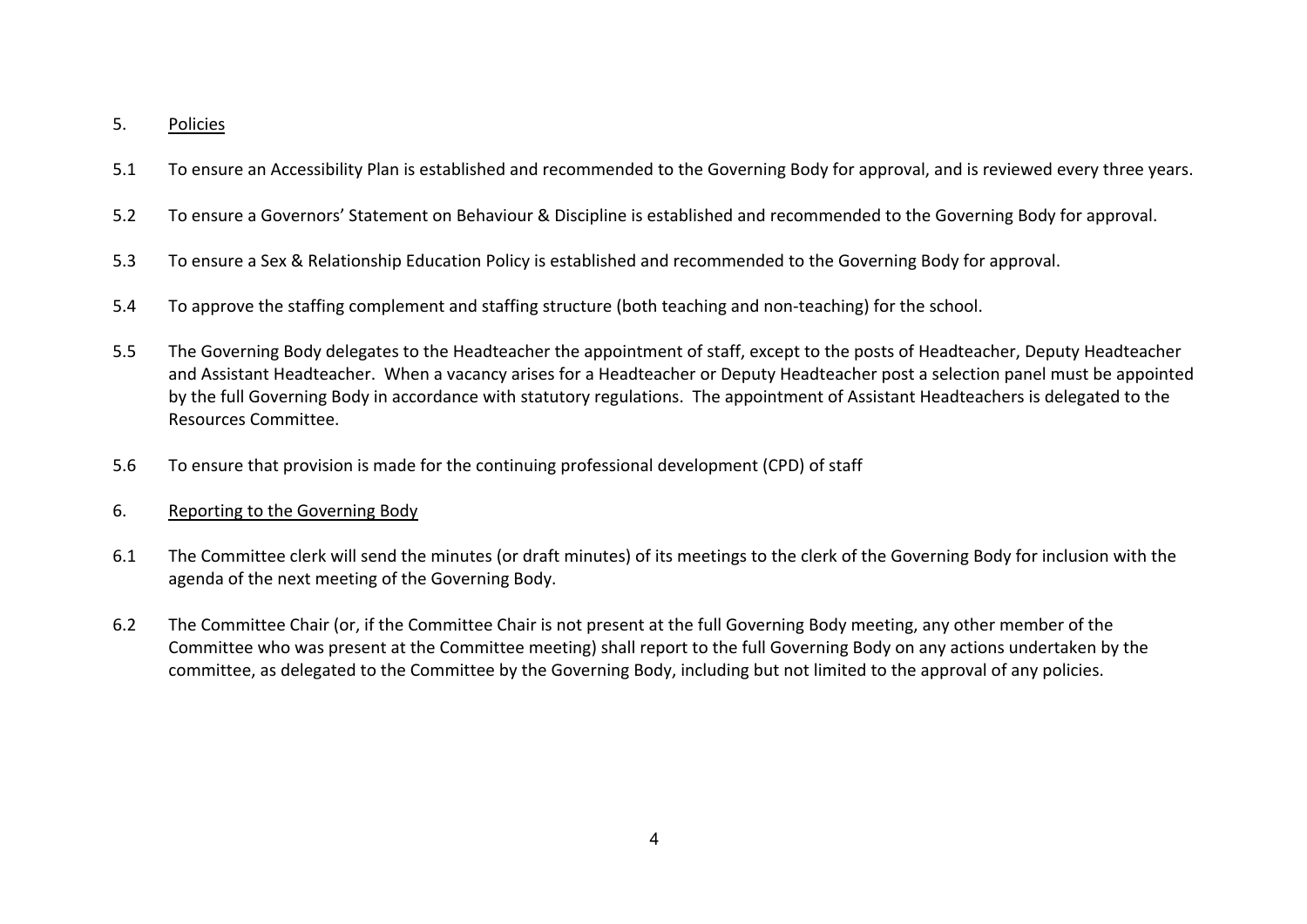### 5. Policies

- 5.1 To ensure an Accessibility Plan is established and recommended to the Governing Body for approval, and is reviewed every three years.
- 5.2 To ensure a Governors' Statement on Behaviour & Discipline is established and recommended to the Governing Body for approval.
- 5.3 To ensure a Sex & Relationship Education Policy is established and recommended to the Governing Body for approval.
- 5.4 To approve the staffing complement and staffing structure (both teaching and non-teaching) for the school.
- 5.5 The Governing Body delegates to the Headteacher the appointment of staff, except to the posts of Headteacher, Deputy Headteacher and Assistant Headteacher. When a vacancy arises for a Headteacher or Deputy Headteacher post a selection panel must be appointed by the full Governing Body in accordance with statutory regulations. The appointment of Assistant Headteachers is delegated to the Resources Committee.
- 5.6 To ensure that provision is made for the continuing professional development (CPD) of staff
- 6. Reporting to the Governing Body
- 6.1 The Committee clerk will send the minutes (or draft minutes) of its meetings to the clerk of the Governing Body for inclusion with the agenda of the next meeting of the Governing Body.
- 6.2 The Committee Chair (or, if the Committee Chair is not present at the full Governing Body meeting, any other member of the Committee who was present at the Committee meeting) shall report to the full Governing Body on any actions undertaken by the committee, as delegated to the Committee by the Governing Body, including but not limited to the approval of any policies.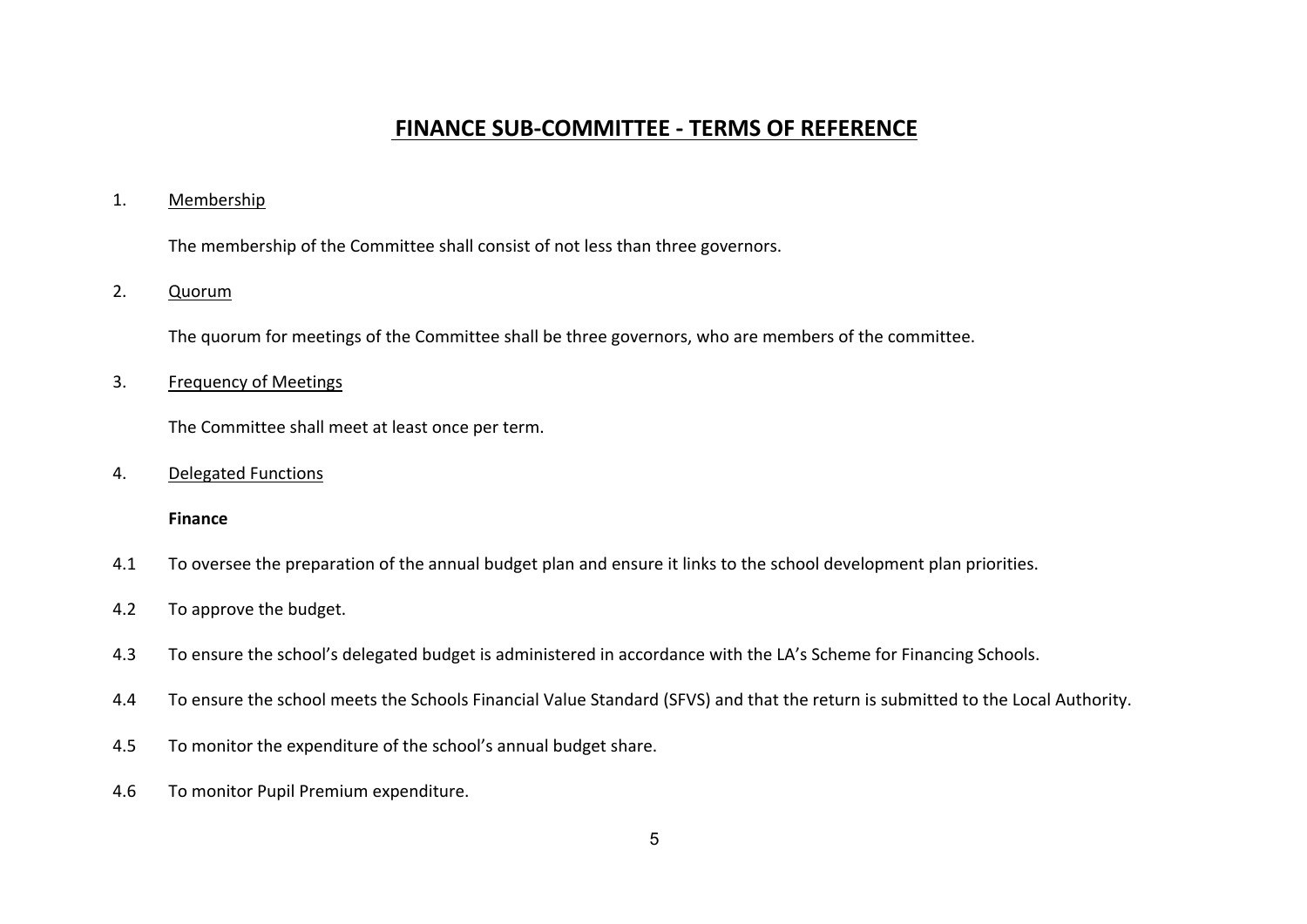# **FINANCE SUB-COMMITTEE - TERMS OF REFERENCE**

#### 1. Membership

The membership of the Committee shall consist of not less than three governors.

# 2. Quorum

The quorum for meetings of the Committee shall be three governors, who are members of the committee.

#### 3. Frequency of Meetings

The Committee shall meet at least once per term.

#### 4. Delegated Functions

#### **Finance**

- 4.1 To oversee the preparation of the annual budget plan and ensure it links to the school development plan priorities.
- 4.2 To approve the budget.
- 4.3 To ensure the school's delegated budget is administered in accordance with the LA's Scheme for Financing Schools.
- 4.4 To ensure the school meets the Schools Financial Value Standard (SFVS) and that the return is submitted to the Local Authority.
- 4.5 To monitor the expenditure of the school's annual budget share.
- 4.6 To monitor Pupil Premium expenditure.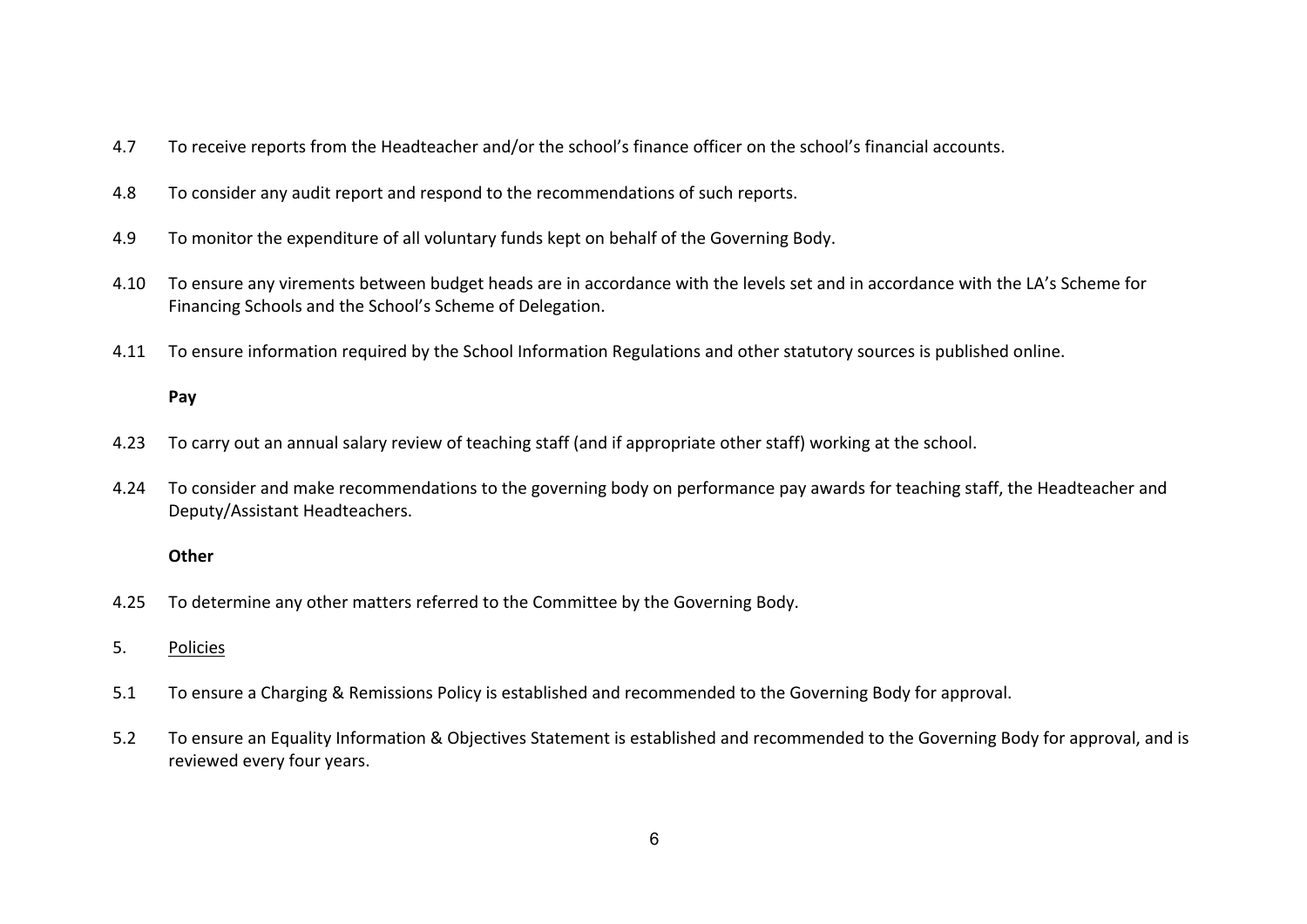- 4.7 To receive reports from the Headteacher and/or the school's finance officer on the school's financial accounts.
- 4.8 To consider any audit report and respond to the recommendations of such reports.
- 4.9 To monitor the expenditure of all voluntary funds kept on behalf of the Governing Body.
- 4.10 To ensure any virements between budget heads are in accordance with the levels set and in accordance with the LA's Scheme for Financing Schools and the School's Scheme of Delegation.
- 4.11 To ensure information required by the School Information Regulations and other statutory sources is published online.

# **Pay**

- 4.23 To carry out an annual salary review of teaching staff (and if appropriate other staff) working at the school.
- 4.24 To consider and make recommendations to the governing body on performance pay awards for teaching staff, the Headteacher and Deputy/Assistant Headteachers.

### **Other**

- 4.25 To determine any other matters referred to the Committee by the Governing Body.
- 5. Policies
- 5.1 To ensure a Charging & Remissions Policy is established and recommended to the Governing Body for approval.
- 5.2 To ensure an Equality Information & Objectives Statement is established and recommended to the Governing Body for approval, and is reviewed every four years.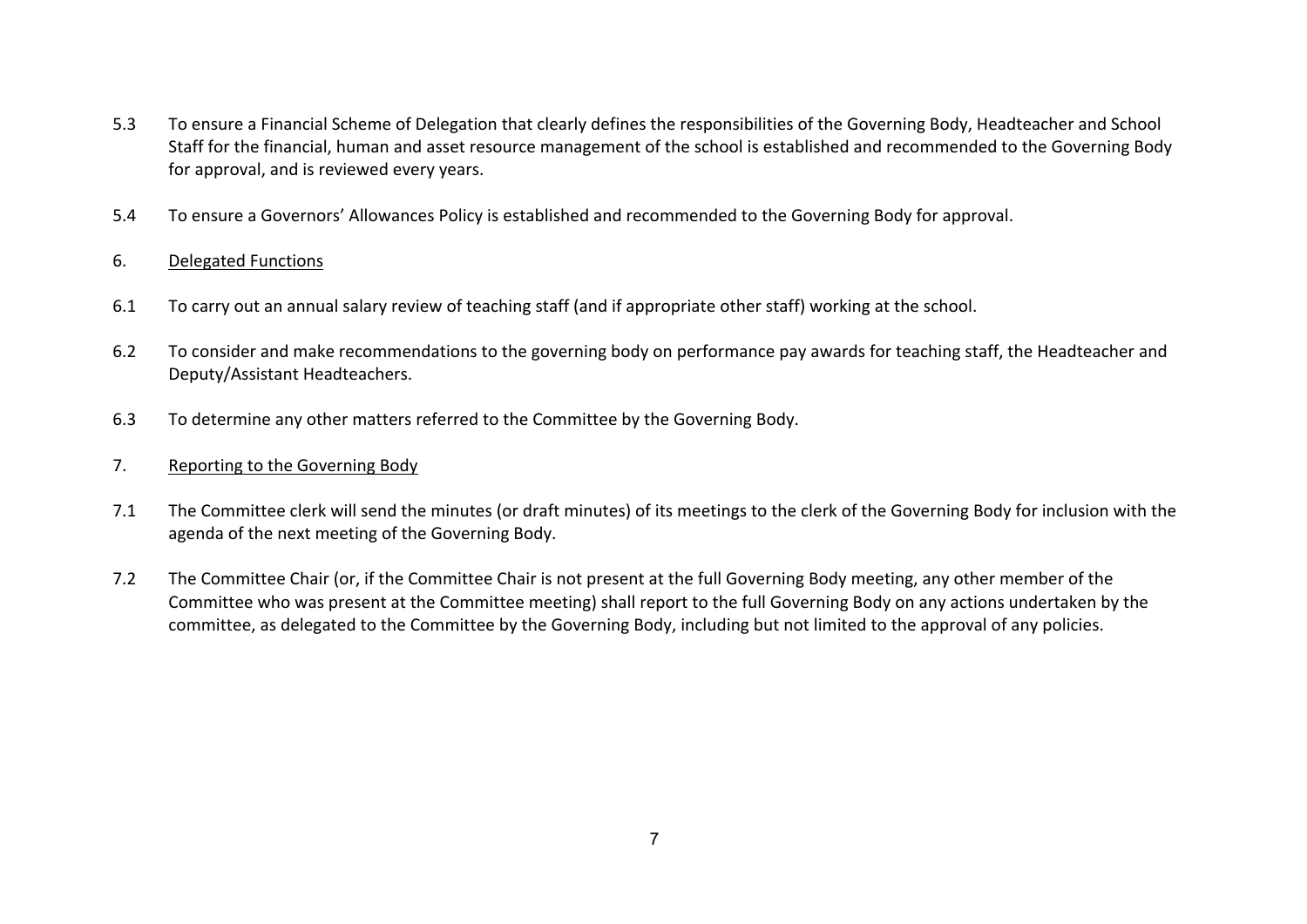- 5.3 To ensure a Financial Scheme of Delegation that clearly defines the responsibilities of the Governing Body, Headteacher and School Staff for the financial, human and asset resource management of the school is established and recommended to the Governing Body for approval, and is reviewed every years.
- 5.4 To ensure a Governors' Allowances Policy is established and recommended to the Governing Body for approval.

# 6. Delegated Functions

- 6.1 To carry out an annual salary review of teaching staff (and if appropriate other staff) working at the school.
- 6.2 To consider and make recommendations to the governing body on performance pay awards for teaching staff, the Headteacher and Deputy/Assistant Headteachers.
- 6.3 To determine any other matters referred to the Committee by the Governing Body.

### 7. Reporting to the Governing Body

- 7.1 The Committee clerk will send the minutes (or draft minutes) of its meetings to the clerk of the Governing Body for inclusion with the agenda of the next meeting of the Governing Body.
- 7.2 The Committee Chair (or, if the Committee Chair is not present at the full Governing Body meeting, any other member of the Committee who was present at the Committee meeting) shall report to the full Governing Body on any actions undertaken by the committee, as delegated to the Committee by the Governing Body, including but not limited to the approval of any policies.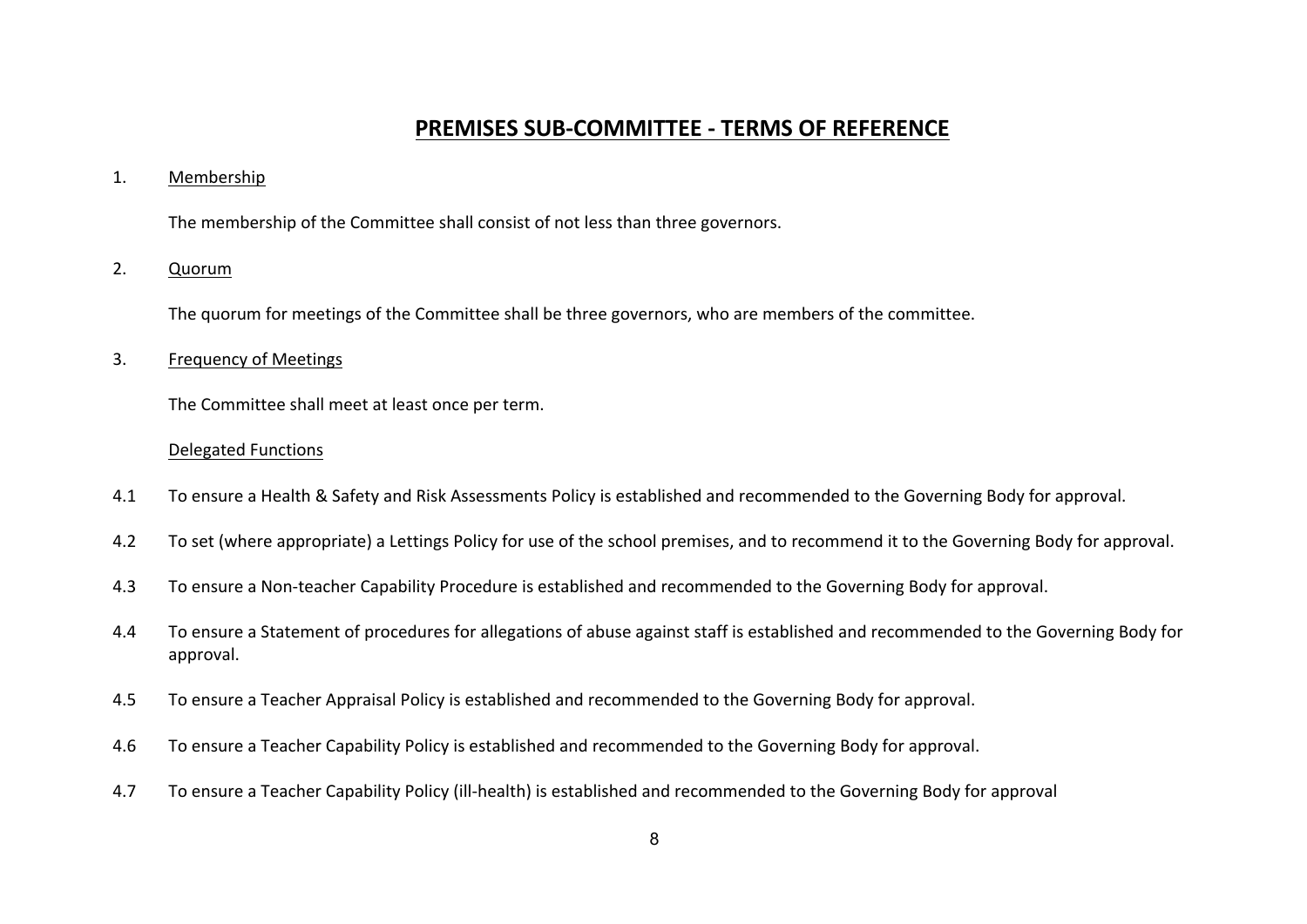# **PREMISES SUB-COMMITTEE - TERMS OF REFERENCE**

#### 1. Membership

The membership of the Committee shall consist of not less than three governors.

# 2. Quorum

The quorum for meetings of the Committee shall be three governors, who are members of the committee.

#### 3. Frequency of Meetings

The Committee shall meet at least once per term.

#### Delegated Functions

- 4.1 To ensure a Health & Safety and Risk Assessments Policy is established and recommended to the Governing Body for approval.
- 4.2 To set (where appropriate) a Lettings Policy for use of the school premises, and to recommend it to the Governing Body for approval.
- 4.3 To ensure a Non-teacher Capability Procedure is established and recommended to the Governing Body for approval.
- 4.4 To ensure a Statement of procedures for allegations of abuse against staff is established and recommended to the Governing Body for approval.
- 4.5 To ensure a Teacher Appraisal Policy is established and recommended to the Governing Body for approval.
- 4.6 To ensure a Teacher Capability Policy is established and recommended to the Governing Body for approval.
- 4.7 To ensure a Teacher Capability Policy (ill-health) is established and recommended to the Governing Body for approval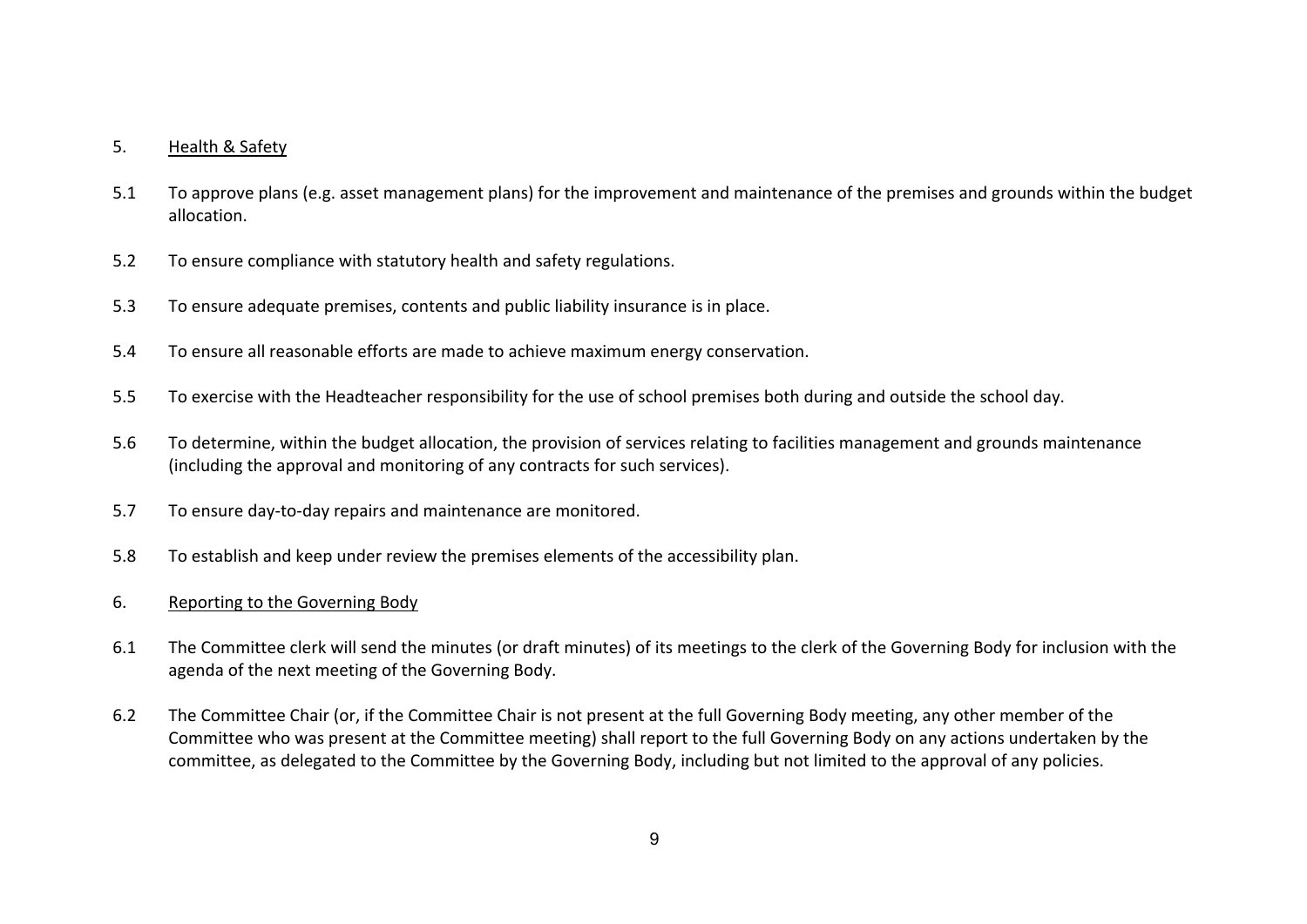# 5. Health & Safety

- 5.1 To approve plans (e.g. asset management plans) for the improvement and maintenance of the premises and grounds within the budget allocation.
- 5.2 To ensure compliance with statutory health and safety regulations.
- 5.3 To ensure adequate premises, contents and public liability insurance is in place.
- 5.4 To ensure all reasonable efforts are made to achieve maximum energy conservation.
- 5.5 To exercise with the Headteacher responsibility for the use of school premises both during and outside the school day.
- 5.6 To determine, within the budget allocation, the provision of services relating to facilities management and grounds maintenance (including the approval and monitoring of any contracts for such services).
- 5.7 To ensure day-to-day repairs and maintenance are monitored.
- 5.8 To establish and keep under review the premises elements of the accessibility plan.
- 6. Reporting to the Governing Body
- 6.1 The Committee clerk will send the minutes (or draft minutes) of its meetings to the clerk of the Governing Body for inclusion with the agenda of the next meeting of the Governing Body.
- 6.2 The Committee Chair (or, if the Committee Chair is not present at the full Governing Body meeting, any other member of the Committee who was present at the Committee meeting) shall report to the full Governing Body on any actions undertaken by the committee, as delegated to the Committee by the Governing Body, including but not limited to the approval of any policies.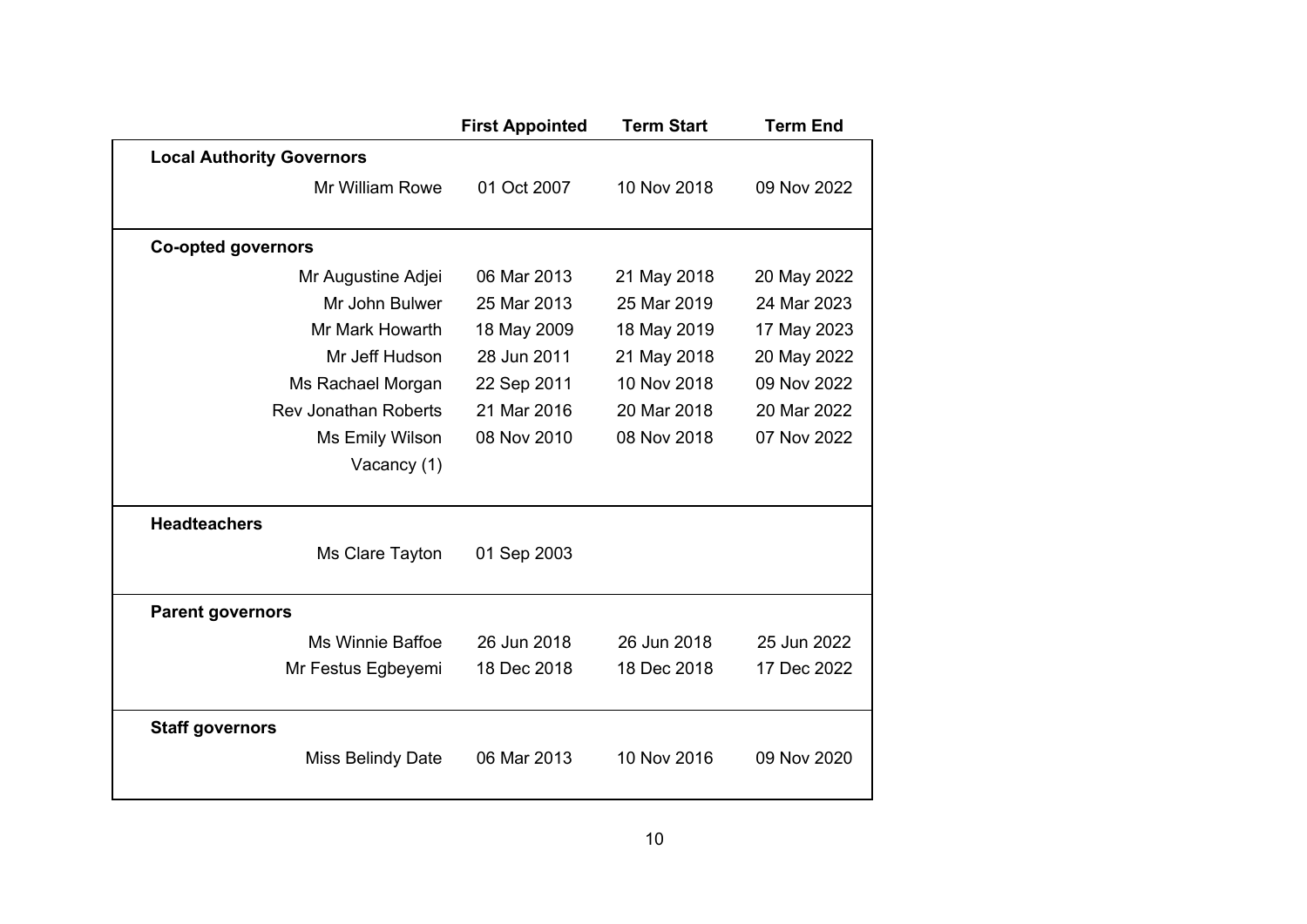|                                  | <b>First Appointed</b> | <b>Term Start</b> | <b>Term End</b> |
|----------------------------------|------------------------|-------------------|-----------------|
| <b>Local Authority Governors</b> |                        |                   |                 |
| Mr William Rowe                  | 01 Oct 2007            | 10 Nov 2018       | 09 Nov 2022     |
| <b>Co-opted governors</b>        |                        |                   |                 |
|                                  | 06 Mar 2013            |                   |                 |
| Mr Augustine Adjei               |                        | 21 May 2018       | 20 May 2022     |
| Mr John Bulwer                   | 25 Mar 2013            | 25 Mar 2019       | 24 Mar 2023     |
| Mr Mark Howarth                  | 18 May 2009            | 18 May 2019       | 17 May 2023     |
| Mr Jeff Hudson                   | 28 Jun 2011            | 21 May 2018       | 20 May 2022     |
| Ms Rachael Morgan                | 22 Sep 2011            | 10 Nov 2018       | 09 Nov 2022     |
| <b>Rev Jonathan Roberts</b>      | 21 Mar 2016            | 20 Mar 2018       | 20 Mar 2022     |
| Ms Emily Wilson                  | 08 Nov 2010            | 08 Nov 2018       | 07 Nov 2022     |
| Vacancy (1)                      |                        |                   |                 |
| <b>Headteachers</b>              |                        |                   |                 |
| Ms Clare Tayton                  | 01 Sep 2003            |                   |                 |
| <b>Parent governors</b>          |                        |                   |                 |
| Ms Winnie Baffoe                 | 26 Jun 2018            | 26 Jun 2018       | 25 Jun 2022     |
| Mr Festus Egbeyemi               | 18 Dec 2018            | 18 Dec 2018       | 17 Dec 2022     |
| <b>Staff governors</b>           |                        |                   |                 |
| <b>Miss Belindy Date</b>         | 06 Mar 2013            | 10 Nov 2016       | 09 Nov 2020     |